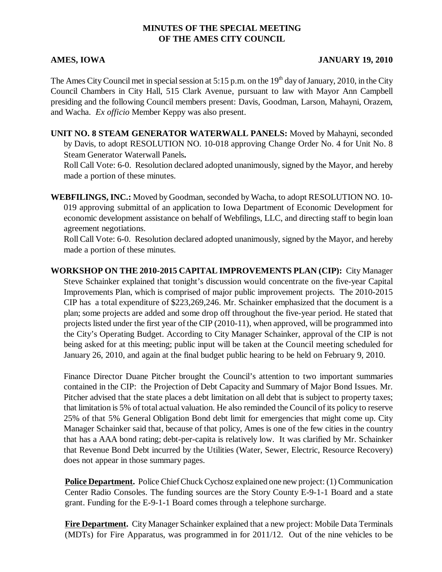## **MINUTES OF THE SPECIAL MEETING OF THE AMES CITY COUNCIL**

## **AMES, IOWA JANUARY 19, 2010**

The Ames City Council met in special session at 5:15 p.m. on the  $19<sup>th</sup>$  day of January, 2010, in the City Council Chambers in City Hall, 515 Clark Avenue, pursuant to law with Mayor Ann Campbell presiding and the following Council members present: Davis, Goodman, Larson, Mahayni, Orazem, and Wacha. *Ex officio* Member Keppy was also present.

**UNIT NO. 8 STEAM GENERATOR WATERWALL PANELS:** Moved by Mahayni, seconded by Davis, to adopt RESOLUTION NO. 10-018 approving Change Order No. 4 for Unit No. 8 Steam Generator Waterwall Panels**.**

Roll Call Vote: 6-0. Resolution declared adopted unanimously, signed by the Mayor, and hereby made a portion of these minutes.

**WEBFILINGS, INC.:** Moved by Goodman, seconded by Wacha, to adopt RESOLUTION NO. 10- 019 approving submittal of an application to Iowa Department of Economic Development for economic development assistance on behalf of Webfilings, LLC, and directing staff to begin loan agreement negotiations.

Roll Call Vote: 6-0. Resolution declared adopted unanimously, signed by the Mayor, and hereby made a portion of these minutes.

**WORKSHOP ON THE 2010-2015 CAPITAL IMPROVEMENTS PLAN (CIP):** City Manager Steve Schainker explained that tonight's discussion would concentrate on the five-year Capital Improvements Plan, which is comprised of major public improvement projects. The 2010-2015 CIP has a total expenditure of \$223,269,246. Mr. Schainker emphasized that the document is a plan; some projects are added and some drop off throughout the five-year period. He stated that projects listed under the first year of the CIP (2010-11), when approved, will be programmed into the City's Operating Budget. According to City Manager Schainker, approval of the CIP is not being asked for at this meeting; public input will be taken at the Council meeting scheduled for January 26, 2010, and again at the final budget public hearing to be held on February 9, 2010.

Finance Director Duane Pitcher brought the Council's attention to two important summaries contained in the CIP: the Projection of Debt Capacity and Summary of Major Bond Issues. Mr. Pitcher advised that the state places a debt limitation on all debt that is subject to property taxes; that limitation is 5% of total actual valuation. He also reminded the Council of its policy to reserve 25% of that 5% General Obligation Bond debt limit for emergencies that might come up. City Manager Schainker said that, because of that policy, Ames is one of the few cities in the country that has a AAA bond rating; debt-per-capita is relatively low. It was clarified by Mr. Schainker that Revenue Bond Debt incurred by the Utilities (Water, Sewer, Electric, Resource Recovery) does not appear in those summary pages.

**Police Department.** Police Chief Chuck Cychosz explained one new project: (1) Communication Center Radio Consoles. The funding sources are the Story County E-9-1-1 Board and a state grant. Funding for the E-9-1-1 Board comes through a telephone surcharge.

**Fire Department.** City Manager Schainker explained that a new project: Mobile Data Terminals (MDTs) for Fire Apparatus, was programmed in for 2011/12. Out of the nine vehicles to be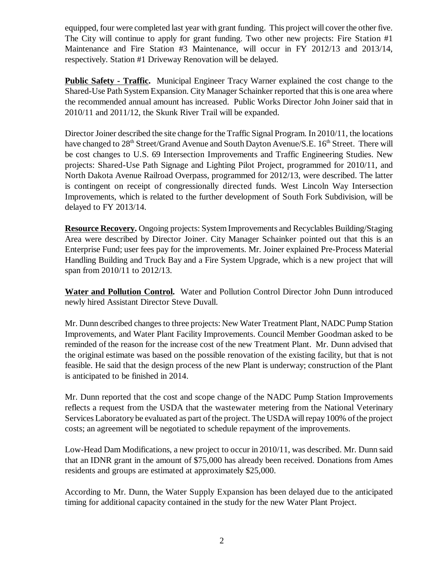equipped, four were completed last year with grant funding. This project will cover the other five. The City will continue to apply for grant funding. Two other new projects: Fire Station #1 Maintenance and Fire Station #3 Maintenance, will occur in FY 2012/13 and 2013/14, respectively. Station #1 Driveway Renovation will be delayed.

**Public Safety - Traffic.** Municipal Engineer Tracy Warner explained the cost change to the Shared-Use Path System Expansion. City Manager Schainker reported that this is one area where the recommended annual amount has increased. Public Works Director John Joiner said that in 2010/11 and 2011/12, the Skunk River Trail will be expanded.

Director Joiner described the site change for the Traffic Signal Program. In 2010/11, the locations have changed to 28<sup>th</sup> Street/Grand Avenue and South Dayton Avenue/S.E. 16<sup>th</sup> Street. There will be cost changes to U.S. 69 Intersection Improvements and Traffic Engineering Studies. New projects: Shared-Use Path Signage and Lighting Pilot Project, programmed for 2010/11, and North Dakota Avenue Railroad Overpass, programmed for 2012/13, were described. The latter is contingent on receipt of congressionally directed funds. West Lincoln Way Intersection Improvements, which is related to the further development of South Fork Subdivision, will be delayed to FY 2013/14.

**Resource Recovery.** Ongoing projects: System Improvements and Recyclables Building/Staging Area were described by Director Joiner. City Manager Schainker pointed out that this is an Enterprise Fund; user fees pay for the improvements. Mr. Joiner explained Pre-Process Material Handling Building and Truck Bay and a Fire System Upgrade, which is a new project that will span from 2010/11 to 2012/13.

**Water and Pollution Control.** Water and Pollution Control Director John Dunn introduced newly hired Assistant Director Steve Duvall.

Mr. Dunn described changes to three projects: New Water Treatment Plant, NADC Pump Station Improvements, and Water Plant Facility Improvements. Council Member Goodman asked to be reminded of the reason for the increase cost of the new Treatment Plant. Mr. Dunn advised that the original estimate was based on the possible renovation of the existing facility, but that is not feasible. He said that the design process of the new Plant is underway; construction of the Plant is anticipated to be finished in 2014.

Mr. Dunn reported that the cost and scope change of the NADC Pump Station Improvements reflects a request from the USDA that the wastewater metering from the National Veterinary Services Laboratory be evaluated as part of the project. The USDA will repay 100% of the project costs; an agreement will be negotiated to schedule repayment of the improvements.

Low-Head Dam Modifications, a new project to occur in 2010/11, was described. Mr. Dunn said that an IDNR grant in the amount of \$75,000 has already been received. Donations from Ames residents and groups are estimated at approximately \$25,000.

According to Mr. Dunn, the Water Supply Expansion has been delayed due to the anticipated timing for additional capacity contained in the study for the new Water Plant Project.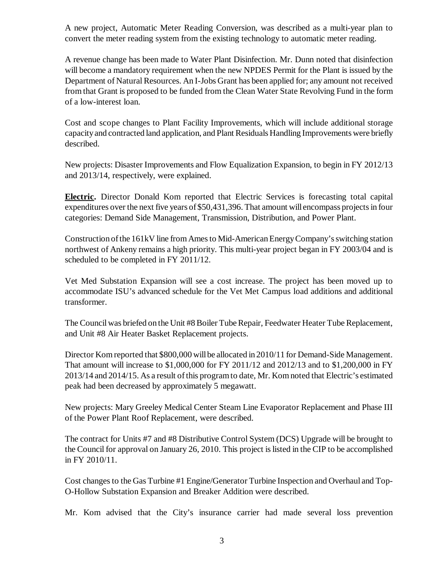A new project, Automatic Meter Reading Conversion, was described as a multi-year plan to convert the meter reading system from the existing technology to automatic meter reading.

A revenue change has been made to Water Plant Disinfection. Mr. Dunn noted that disinfection will become a mandatory requirement when the new NPDES Permit for the Plant is issued by the Department of Natural Resources. An I-Jobs Grant has been applied for; any amount not received from that Grant is proposed to be funded from the Clean Water State Revolving Fund in the form of a low-interest loan.

Cost and scope changes to Plant Facility Improvements, which will include additional storage capacity and contracted land application, and Plant Residuals Handling Improvements were briefly described.

New projects: Disaster Improvements and Flow Equalization Expansion, to begin in FY 2012/13 and 2013/14, respectively, were explained.

**Electric.** Director Donald Kom reported that Electric Services is forecasting total capital expenditures over the next five years of \$50,431,396. That amount will encompass projects in four categories: Demand Side Management, Transmission, Distribution, and Power Plant.

Construction of the 161kV line from Ames to Mid-American Energy Company's switching station northwest of Ankeny remains a high priority. This multi-year project began in FY 2003/04 and is scheduled to be completed in FY 2011/12.

Vet Med Substation Expansion will see a cost increase. The project has been moved up to accommodate ISU's advanced schedule for the Vet Met Campus load additions and additional transformer.

The Council was briefed on the Unit #8 Boiler Tube Repair, Feedwater Heater Tube Replacement, and Unit #8 Air Heater Basket Replacement projects.

Director Kom reported that \$800,000 will be allocated in 2010/11 for Demand-Side Management. That amount will increase to \$1,000,000 for FY 2011/12 and 2012/13 and to \$1,200,000 in FY 2013/14 and 2014/15. As a result of this program to date, Mr. Kom noted that Electric's estimated peak had been decreased by approximately 5 megawatt.

New projects: Mary Greeley Medical Center Steam Line Evaporator Replacement and Phase III of the Power Plant Roof Replacement, were described.

The contract for Units #7 and #8 Distributive Control System (DCS) Upgrade will be brought to the Council for approval on January 26, 2010. This project is listed in the CIP to be accomplished in FY 2010/11.

Cost changes to the Gas Turbine #1 Engine/Generator Turbine Inspection and Overhaul and Top-O-Hollow Substation Expansion and Breaker Addition were described.

Mr. Kom advised that the City's insurance carrier had made several loss prevention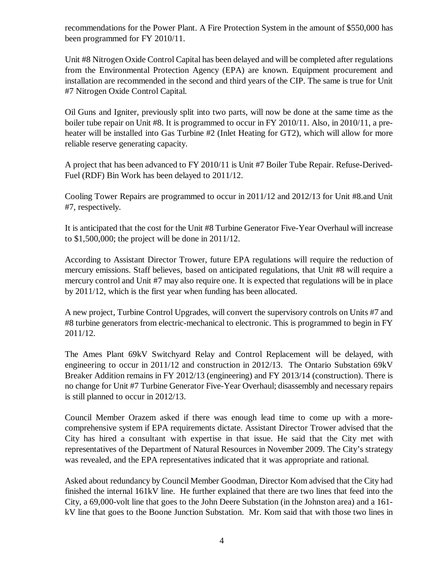recommendations for the Power Plant. A Fire Protection System in the amount of \$550,000 has been programmed for FY 2010/11.

Unit #8 Nitrogen Oxide Control Capital has been delayed and will be completed after regulations from the Environmental Protection Agency (EPA) are known. Equipment procurement and installation are recommended in the second and third years of the CIP. The same is true for Unit #7 Nitrogen Oxide Control Capital.

Oil Guns and Igniter, previously split into two parts, will now be done at the same time as the boiler tube repair on Unit #8. It is programmed to occur in FY 2010/11. Also, in 2010/11, a preheater will be installed into Gas Turbine #2 (Inlet Heating for GT2), which will allow for more reliable reserve generating capacity.

A project that has been advanced to FY 2010/11 is Unit #7 Boiler Tube Repair. Refuse-Derived-Fuel (RDF) Bin Work has been delayed to 2011/12.

Cooling Tower Repairs are programmed to occur in 2011/12 and 2012/13 for Unit #8.and Unit #7, respectively.

It is anticipated that the cost for the Unit #8 Turbine Generator Five-Year Overhaul will increase to \$1,500,000; the project will be done in 2011/12.

According to Assistant Director Trower, future EPA regulations will require the reduction of mercury emissions. Staff believes, based on anticipated regulations, that Unit #8 will require a mercury control and Unit #7 may also require one. It is expected that regulations will be in place by 2011/12, which is the first year when funding has been allocated.

A new project, Turbine Control Upgrades, will convert the supervisory controls on Units #7 and #8 turbine generators from electric-mechanical to electronic. This is programmed to begin in FY 2011/12.

The Ames Plant 69kV Switchyard Relay and Control Replacement will be delayed, with engineering to occur in 2011/12 and construction in 2012/13. The Ontario Substation 69kV Breaker Addition remains in FY 2012/13 (engineering) and FY 2013/14 (construction). There is no change for Unit #7 Turbine Generator Five-Year Overhaul; disassembly and necessary repairs is still planned to occur in 2012/13.

Council Member Orazem asked if there was enough lead time to come up with a morecomprehensive system if EPA requirements dictate. Assistant Director Trower advised that the City has hired a consultant with expertise in that issue. He said that the City met with representatives of the Department of Natural Resources in November 2009. The City's strategy was revealed, and the EPA representatives indicated that it was appropriate and rational.

Asked about redundancy by Council Member Goodman, Director Kom advised that the City had finished the internal 161kV line. He further explained that there are two lines that feed into the City, a 69,000-volt line that goes to the John Deere Substation (in the Johnston area) and a 161 kV line that goes to the Boone Junction Substation. Mr. Kom said that with those two lines in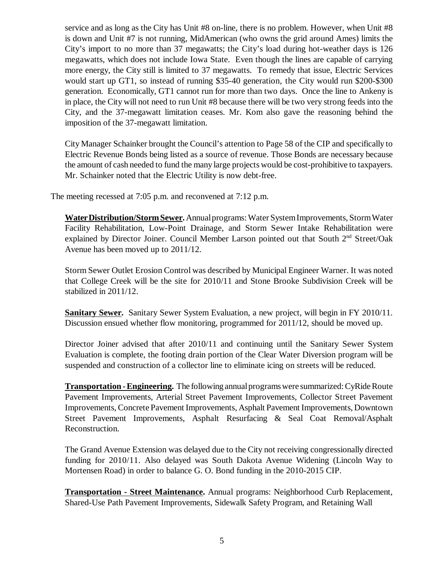service and as long as the City has Unit #8 on-line, there is no problem. However, when Unit #8 is down and Unit #7 is not running, MidAmerican (who owns the grid around Ames) limits the City's import to no more than 37 megawatts; the City's load during hot-weather days is 126 megawatts, which does not include Iowa State. Even though the lines are capable of carrying more energy, the City still is limited to 37 megawatts. To remedy that issue, Electric Services would start up GT1, so instead of running \$35-40 generation, the City would run \$200-\$300 generation. Economically, GT1 cannot run for more than two days. Once the line to Ankeny is in place, the City will not need to run Unit #8 because there will be two very strong feeds into the City, and the 37-megawatt limitation ceases. Mr. Kom also gave the reasoning behind the imposition of the 37-megawatt limitation.

City Manager Schainker brought the Council's attention to Page 58 of the CIP and specifically to Electric Revenue Bonds being listed as a source of revenue. Those Bonds are necessary because the amount of cash needed to fund the many large projects would be cost-prohibitive to taxpayers. Mr. Schainker noted that the Electric Utility is now debt-free.

The meeting recessed at 7:05 p.m. and reconvened at 7:12 p.m.

**Water Distribution/Storm Sewer.** Annual programs: Water System Improvements, Storm Water Facility Rehabilitation, Low-Point Drainage, and Storm Sewer Intake Rehabilitation were explained by Director Joiner. Council Member Larson pointed out that South 2<sup>nd</sup> Street/Oak Avenue has been moved up to 2011/12.

Storm Sewer Outlet Erosion Control was described by Municipal Engineer Warner. It was noted that College Creek will be the site for 2010/11 and Stone Brooke Subdivision Creek will be stabilized in 2011/12.

**Sanitary Sewer.** Sanitary Sewer System Evaluation, a new project, will begin in FY 2010/11. Discussion ensued whether flow monitoring, programmed for 2011/12, should be moved up.

Director Joiner advised that after 2010/11 and continuing until the Sanitary Sewer System Evaluation is complete, the footing drain portion of the Clear Water Diversion program will be suspended and construction of a collector line to eliminate icing on streets will be reduced.

**Transportation - Engineering.** The following annual programs were summarized: CyRide Route Pavement Improvements, Arterial Street Pavement Improvements, Collector Street Pavement Improvements, Concrete Pavement Improvements, Asphalt Pavement Improvements, Downtown Street Pavement Improvements, Asphalt Resurfacing & Seal Coat Removal/Asphalt Reconstruction.

The Grand Avenue Extension was delayed due to the City not receiving congressionally directed funding for 2010/11. Also delayed was South Dakota Avenue Widening (Lincoln Way to Mortensen Road) in order to balance G. O. Bond funding in the 2010-2015 CIP.

**Transportation - Street Maintenance.** Annual programs: Neighborhood Curb Replacement, Shared-Use Path Pavement Improvements, Sidewalk Safety Program, and Retaining Wall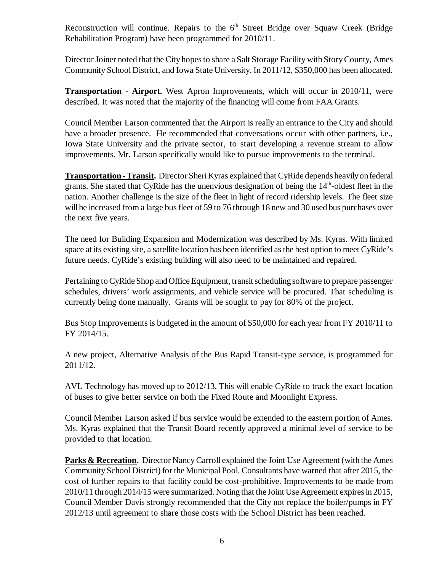Reconstruction will continue. Repairs to the  $6<sup>th</sup>$  Street Bridge over Squaw Creek (Bridge Rehabilitation Program) have been programmed for 2010/11.

Director Joiner noted that the City hopes to share a Salt Storage Facility with Story County, Ames Community School District, and Iowa State University. In 2011/12, \$350,000 has been allocated.

**Transportation - Airport.** West Apron Improvements, which will occur in 2010/11, were described. It was noted that the majority of the financing will come from FAA Grants.

Council Member Larson commented that the Airport is really an entrance to the City and should have a broader presence. He recommended that conversations occur with other partners, i.e., Iowa State University and the private sector, to start developing a revenue stream to allow improvements. Mr. Larson specifically would like to pursue improvements to the terminal.

**Transportation - Transit.** Director Sheri Kyras explained that CyRide depends heavily on federal grants. She stated that CyRide has the unenvious designation of being the  $14<sup>th</sup>$ -oldest fleet in the nation. Another challenge is the size of the fleet in light of record ridership levels. The fleet size will be increased from a large bus fleet of 59 to 76 through 18 new and 30 used bus purchases over the next five years.

The need for Building Expansion and Modernization was described by Ms. Kyras. With limited space at its existing site, a satellite location has been identified as the best option to meet CyRide's future needs. CyRide's existing building will also need to be maintained and repaired.

Pertaining to CyRide Shop and Office Equipment, transit scheduling software to prepare passenger schedules, drivers' work assignments, and vehicle service will be procured. That scheduling is currently being done manually. Grants will be sought to pay for 80% of the project.

Bus Stop Improvements is budgeted in the amount of \$50,000 for each year from FY 2010/11 to FY 2014/15.

A new project, Alternative Analysis of the Bus Rapid Transit-type service, is programmed for 2011/12.

AVL Technology has moved up to 2012/13. This will enable CyRide to track the exact location of buses to give better service on both the Fixed Route and Moonlight Express.

Council Member Larson asked if bus service would be extended to the eastern portion of Ames. Ms. Kyras explained that the Transit Board recently approved a minimal level of service to be provided to that location.

**Parks & Recreation.** Director Nancy Carroll explained the Joint Use Agreement (with the Ames Community School District) for the Municipal Pool. Consultants have warned that after 2015, the cost of further repairs to that facility could be cost-prohibitive. Improvements to be made from 2010/11 through 2014/15 were summarized. Noting that the Joint Use Agreement expires in 2015, Council Member Davis strongly recommended that the City not replace the boiler/pumps in FY 2012/13 until agreement to share those costs with the School District has been reached.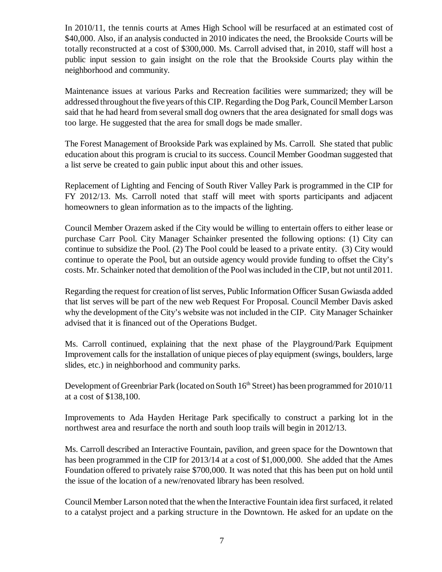In 2010/11, the tennis courts at Ames High School will be resurfaced at an estimated cost of \$40,000. Also, if an analysis conducted in 2010 indicates the need, the Brookside Courts will be totally reconstructed at a cost of \$300,000. Ms. Carroll advised that, in 2010, staff will host a public input session to gain insight on the role that the Brookside Courts play within the neighborhood and community.

Maintenance issues at various Parks and Recreation facilities were summarized; they will be addressed throughout the five years of this CIP. Regarding the Dog Park, Council Member Larson said that he had heard from several small dog owners that the area designated for small dogs was too large. He suggested that the area for small dogs be made smaller.

The Forest Management of Brookside Park was explained by Ms. Carroll. She stated that public education about this program is crucial to its success. Council Member Goodman suggested that a list serve be created to gain public input about this and other issues.

Replacement of Lighting and Fencing of South River Valley Park is programmed in the CIP for FY 2012/13. Ms. Carroll noted that staff will meet with sports participants and adjacent homeowners to glean information as to the impacts of the lighting.

Council Member Orazem asked if the City would be willing to entertain offers to either lease or purchase Carr Pool. City Manager Schainker presented the following options: (1) City can continue to subsidize the Pool. (2) The Pool could be leased to a private entity. (3) City would continue to operate the Pool, but an outside agency would provide funding to offset the City's costs. Mr. Schainker noted that demolition of the Pool was included in the CIP, but not until 2011.

Regarding the request for creation of list serves, Public Information Officer Susan Gwiasda added that list serves will be part of the new web Request For Proposal. Council Member Davis asked why the development of the City's website was not included in the CIP. City Manager Schainker advised that it is financed out of the Operations Budget.

Ms. Carroll continued, explaining that the next phase of the Playground/Park Equipment Improvement calls for the installation of unique pieces of play equipment (swings, boulders, large slides, etc.) in neighborhood and community parks.

Development of Greenbriar Park (located on South 16<sup>th</sup> Street) has been programmed for 2010/11 at a cost of \$138,100.

Improvements to Ada Hayden Heritage Park specifically to construct a parking lot in the northwest area and resurface the north and south loop trails will begin in 2012/13.

Ms. Carroll described an Interactive Fountain, pavilion, and green space for the Downtown that has been programmed in the CIP for 2013/14 at a cost of \$1,000,000. She added that the Ames Foundation offered to privately raise \$700,000. It was noted that this has been put on hold until the issue of the location of a new/renovated library has been resolved.

Council Member Larson noted that the when the Interactive Fountain idea first surfaced, it related to a catalyst project and a parking structure in the Downtown. He asked for an update on the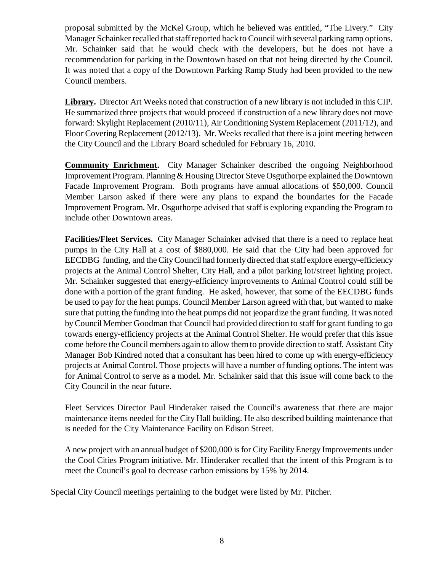proposal submitted by the McKel Group, which he believed was entitled, "The Livery." City Manager Schainker recalled that staff reported back to Council with several parking ramp options. Mr. Schainker said that he would check with the developers, but he does not have a recommendation for parking in the Downtown based on that not being directed by the Council. It was noted that a copy of the Downtown Parking Ramp Study had been provided to the new Council members.

**Library.** Director Art Weeks noted that construction of a new library is not included in this CIP. He summarized three projects that would proceed if construction of a new library does not move forward: Skylight Replacement (2010/11), Air Conditioning System Replacement (2011/12), and Floor Covering Replacement (2012/13). Mr. Weeks recalled that there is a joint meeting between the City Council and the Library Board scheduled for February 16, 2010.

**Community Enrichment.** City Manager Schainker described the ongoing Neighborhood Improvement Program. Planning & Housing Director Steve Osguthorpe explained the Downtown Facade Improvement Program. Both programs have annual allocations of \$50,000. Council Member Larson asked if there were any plans to expand the boundaries for the Facade Improvement Program. Mr. Osguthorpe advised that staff is exploring expanding the Program to include other Downtown areas.

**Facilities/Fleet Services.** City Manager Schainker advised that there is a need to replace heat pumps in the City Hall at a cost of \$880,000. He said that the City had been approved for EECDBG funding, and the City Council had formerly directed that staff explore energy-efficiency projects at the Animal Control Shelter, City Hall, and a pilot parking lot/street lighting project. Mr. Schainker suggested that energy-efficiency improvements to Animal Control could still be done with a portion of the grant funding. He asked, however, that some of the EECDBG funds be used to pay for the heat pumps. Council Member Larson agreed with that, but wanted to make sure that putting the funding into the heat pumps did not jeopardize the grant funding. It was noted by Council Member Goodman that Council had provided direction to staff for grant funding to go towards energy-efficiency projects at the Animal Control Shelter. He would prefer that this issue come before the Council members again to allow them to provide direction to staff. Assistant City Manager Bob Kindred noted that a consultant has been hired to come up with energy-efficiency projects at Animal Control. Those projects will have a number of funding options. The intent was for Animal Control to serve as a model. Mr. Schainker said that this issue will come back to the City Council in the near future.

Fleet Services Director Paul Hinderaker raised the Council's awareness that there are major maintenance items needed for the City Hall building. He also described building maintenance that is needed for the City Maintenance Facility on Edison Street.

A new project with an annual budget of \$200,000 is for City Facility Energy Improvements under the Cool Cities Program initiative. Mr. Hinderaker recalled that the intent of this Program is to meet the Council's goal to decrease carbon emissions by 15% by 2014.

Special City Council meetings pertaining to the budget were listed by Mr. Pitcher.